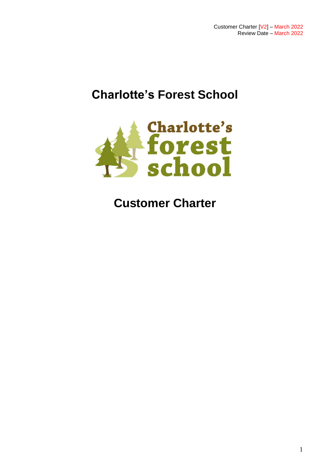# **Charlotte's Forest School**



## **Customer Charter**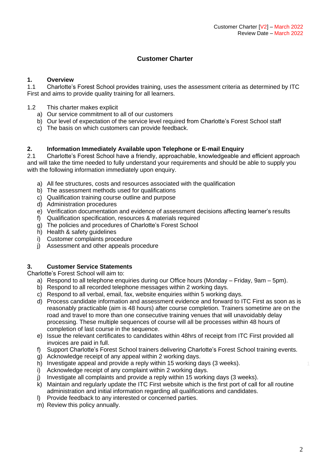### **Customer Charter**

#### **1. Overview**

1.1 Charlotte's Forest School provides training, uses the assessment criteria as determined by ITC First and aims to provide quality training for all learners.

- 1.2 This charter makes explicit
	- a) Our service commitment to all of our customers
	- b) Our level of expectation of the service level required from Charlotte's Forest School staff
	- c) The basis on which customers can provide feedback.

#### **2. Information Immediately Available upon Telephone or E-mail Enquiry**

2.1 Charlotte's Forest School have a friendly, approachable, knowledgeable and efficient approach and will take the time needed to fully understand your requirements and should be able to supply you with the following information immediately upon enquiry.

- a) All fee structures, costs and resources associated with the qualification
- b) The assessment methods used for qualifications
- c) Qualification training course outline and purpose
- d) Administration procedures
- e) Verification documentation and evidence of assessment decisions affecting learner's results
- f) Qualification specification, resources & materials required
- g) The policies and procedures of Charlotte's Forest School
- h) Health & safety guidelines
- i) Customer complaints procedure
- j) Assessment and other appeals procedure

#### **3. Customer Service Statements**

Charlotte's Forest School will aim to:

- a) Respond to all telephone enquiries during our Office hours (Monday Friday, 9am 5pm).
- b) Respond to all recorded telephone messages within 2 working days.
- c) Respond to all verbal, email, fax, website enquiries within 5 working days.
- d) Process candidate information and assessment evidence and forward to ITC First as soon as is reasonably practicable (aim is 48 hours) after course completion. Trainers sometime are on the road and travel to more than one consecutive training venues that will unavoidably delay processing. These multiple sequences of course will all be processes within 48 hours of completion of last course in the sequence.
- e) Issue the relevant certificates to candidates within 48hrs of receipt from ITC First provided all invoices are paid in full.
- f) Support Charlotte's Forest School trainers delivering Charlotte's Forest School training events.
- g) Acknowledge receipt of any appeal within 2 working days.
- h) Investigate appeal and provide a reply within 15 working days (3 weeks).
- i) Acknowledge receipt of any complaint within 2 working days.
- j) Investigate all complaints and provide a reply within 15 working days (3 weeks).
- k) Maintain and regularly update the ITC First website which is the first port of call for all routine administration and initial information regarding all qualifications and candidates.
- l) Provide feedback to any interested or concerned parties.
- m) Review this policy annually.